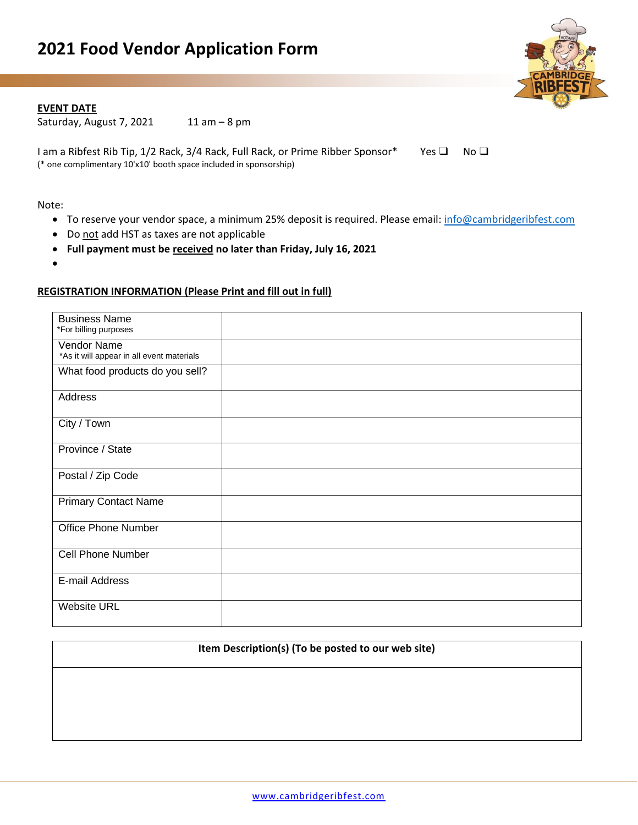

# **EVENT DATE**

Saturday, August 7, 2021  $11$  am  $-8$  pm

I am a Ribfest Rib Tip, 1/2 Rack, 3/4 Rack, Full Rack, or Prime Ribber Sponsor\* Yes □ No □ (\* one complimentary 10'x10' booth space included in sponsorship)

Note:

- To reserve your vendor space, a minimum 25% deposit is required. Please email: [info@cambridgeribfest.com](mailto:info@cambridgeribfest.com)
- Do not add HST as taxes are not applicable
- **Full payment must be received no later than Friday, July 16, 2021**
- •

## **REGISTRATION INFORMATION (Please Print and fill out in full)**

| <b>Business Name</b><br>*For billing purposes            |  |
|----------------------------------------------------------|--|
| Vendor Name<br>*As it will appear in all event materials |  |
| What food products do you sell?                          |  |
| Address                                                  |  |
| City / Town                                              |  |
| Province / State                                         |  |
| Postal / Zip Code                                        |  |
| <b>Primary Contact Name</b>                              |  |
| <b>Office Phone Number</b>                               |  |
| <b>Cell Phone Number</b>                                 |  |
| E-mail Address                                           |  |
| <b>Website URL</b>                                       |  |

#### **Item Description(s) (To be posted to our web site)**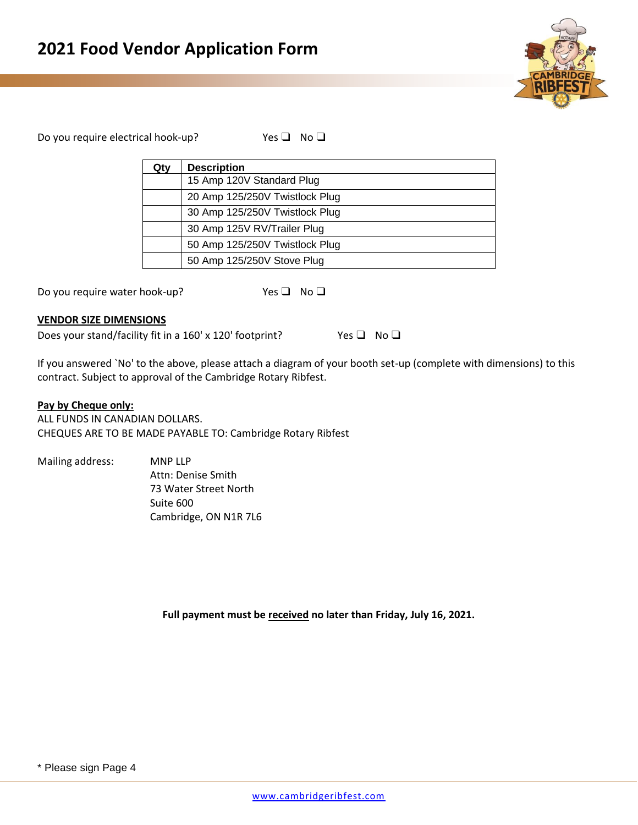

Do you require electrical hook-up? Yes ❑ No ❑

| Qtv | <b>Description</b>             |
|-----|--------------------------------|
|     | 15 Amp 120V Standard Plug      |
|     | 20 Amp 125/250V Twistlock Plug |
|     | 30 Amp 125/250V Twistlock Plug |
|     | 30 Amp 125V RV/Trailer Plug    |
|     | 50 Amp 125/250V Twistlock Plug |
|     | 50 Amp 125/250V Stove Plug     |

Do you require water hook-up? Yes □ No □

## **VENDOR SIZE DIMENSIONS**

Does your stand/facility fit in a 160' x 120' footprint? Yes □ No □

If you answered `No' to the above, please attach a diagram of your booth set-up (complete with dimensions) to this contract. Subject to approval of the Cambridge Rotary Ribfest.

## **Pay by Cheque only:**

ALL FUNDS IN CANADIAN DOLLARS. CHEQUES ARE TO BE MADE PAYABLE TO: Cambridge Rotary Ribfest

| Mailing address: | <b>MNP LLP</b>        |
|------------------|-----------------------|
|                  | Attn: Denise Smith    |
|                  | 73 Water Street North |
|                  | Suite 600             |
|                  | Cambridge, ON N1R 7L6 |

**Full payment must be received no later than Friday, July 16, 2021.**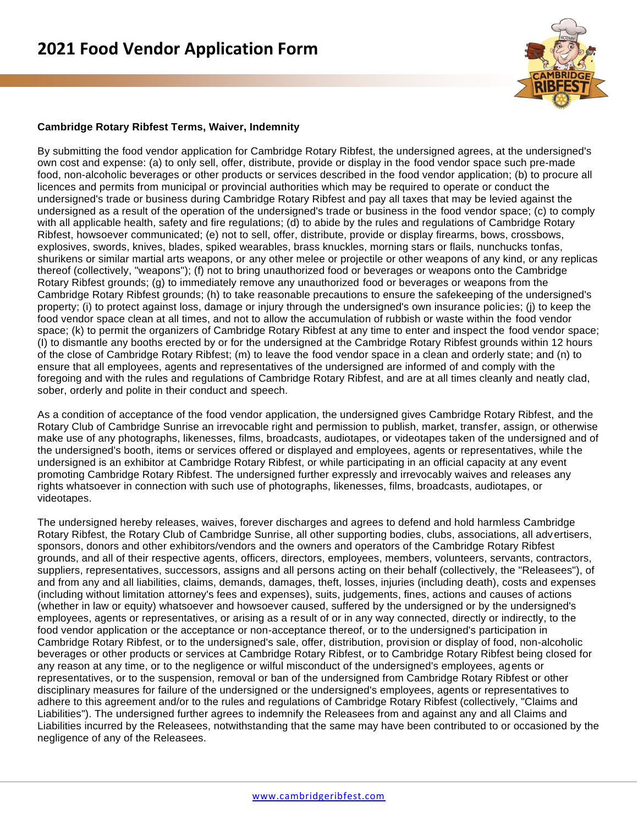

# **Cambridge Rotary Ribfest Terms, Waiver, Indemnity**

By submitting the food vendor application for Cambridge Rotary Ribfest, the undersigned agrees, at the undersigned's own cost and expense: (a) to only sell, offer, distribute, provide or display in the food vendor space such pre-made food, non-alcoholic beverages or other products or services described in the food vendor application; (b) to procure all licences and permits from municipal or provincial authorities which may be required to operate or conduct the undersigned's trade or business during Cambridge Rotary Ribfest and pay all taxes that may be levied against the undersigned as a result of the operation of the undersigned's trade or business in the food vendor space; (c) to comply with all applicable health, safety and fire regulations; (d) to abide by the rules and regulations of Cambridge Rotary Ribfest, howsoever communicated; (e) not to sell, offer, distribute, provide or display firearms, bows, crossbows, explosives, swords, knives, blades, spiked wearables, brass knuckles, morning stars or flails, nunchucks tonfas, shurikens or similar martial arts weapons, or any other melee or projectile or other weapons of any kind, or any replicas thereof (collectively, "weapons"); (f) not to bring unauthorized food or beverages or weapons onto the Cambridge Rotary Ribfest grounds; (g) to immediately remove any unauthorized food or beverages or weapons from the Cambridge Rotary Ribfest grounds; (h) to take reasonable precautions to ensure the safekeeping of the undersigned's property; (i) to protect against loss, damage or injury through the undersigned's own insurance policies; (j) to keep the food vendor space clean at all times, and not to allow the accumulation of rubbish or waste within the food vendor space; (k) to permit the organizers of Cambridge Rotary Ribfest at any time to enter and inspect the food vendor space; (I) to dismantle any booths erected by or for the undersigned at the Cambridge Rotary Ribfest grounds within 12 hours of the close of Cambridge Rotary Ribfest; (m) to leave the food vendor space in a clean and orderly state; and (n) to ensure that all employees, agents and representatives of the undersigned are informed of and comply with the foregoing and with the rules and regulations of Cambridge Rotary Ribfest, and are at all times cleanly and neatly clad, sober, orderly and polite in their conduct and speech.

As a condition of acceptance of the food vendor application, the undersigned gives Cambridge Rotary Ribfest, and the Rotary Club of Cambridge Sunrise an irrevocable right and permission to publish, market, transfer, assign, or otherwise make use of any photographs, likenesses, films, broadcasts, audiotapes, or videotapes taken of the undersigned and of the undersigned's booth, items or services offered or displayed and employees, agents or representatives, while the undersigned is an exhibitor at Cambridge Rotary Ribfest, or while participating in an official capacity at any event promoting Cambridge Rotary Ribfest. The undersigned further expressly and irrevocably waives and releases any rights whatsoever in connection with such use of photographs, likenesses, films, broadcasts, audiotapes, or videotapes.

The undersigned hereby releases, waives, forever discharges and agrees to defend and hold harmless Cambridge Rotary Ribfest, the Rotary Club of Cambridge Sunrise, all other supporting bodies, clubs, associations, all advertisers, sponsors, donors and other exhibitors/vendors and the owners and operators of the Cambridge Rotary Ribfest grounds, and all of their respective agents, officers, directors, employees, members, volunteers, servants, contractors, suppliers, representatives, successors, assigns and all persons acting on their behalf (collectively, the "Releasees"), of and from any and all liabilities, claims, demands, damages, theft, losses, injuries (including death), costs and expenses (including without limitation attorney's fees and expenses), suits, judgements, fines, actions and causes of actions (whether in law or equity) whatsoever and howsoever caused, suffered by the undersigned or by the undersigned's employees, agents or representatives, or arising as a result of or in any way connected, directly or indirectly, to the food vendor application or the acceptance or non-acceptance thereof, or to the undersigned's participation in Cambridge Rotary Ribfest, or to the undersigned's sale, offer, distribution, provision or display of food, non-alcoholic beverages or other products or services at Cambridge Rotary Ribfest, or to Cambridge Rotary Ribfest being closed for any reason at any time, or to the negligence or wilful misconduct of the undersigned's employees, agents or representatives, or to the suspension, removal or ban of the undersigned from Cambridge Rotary Ribfest or other disciplinary measures for failure of the undersigned or the undersigned's employees, agents or representatives to adhere to this agreement and/or to the rules and regulations of Cambridge Rotary Ribfest (collectively, "Claims and Liabilities"). The undersigned further agrees to indemnify the Releasees from and against any and all Claims and Liabilities incurred by the Releasees, notwithstanding that the same may have been contributed to or occasioned by the negligence of any of the Releasees.